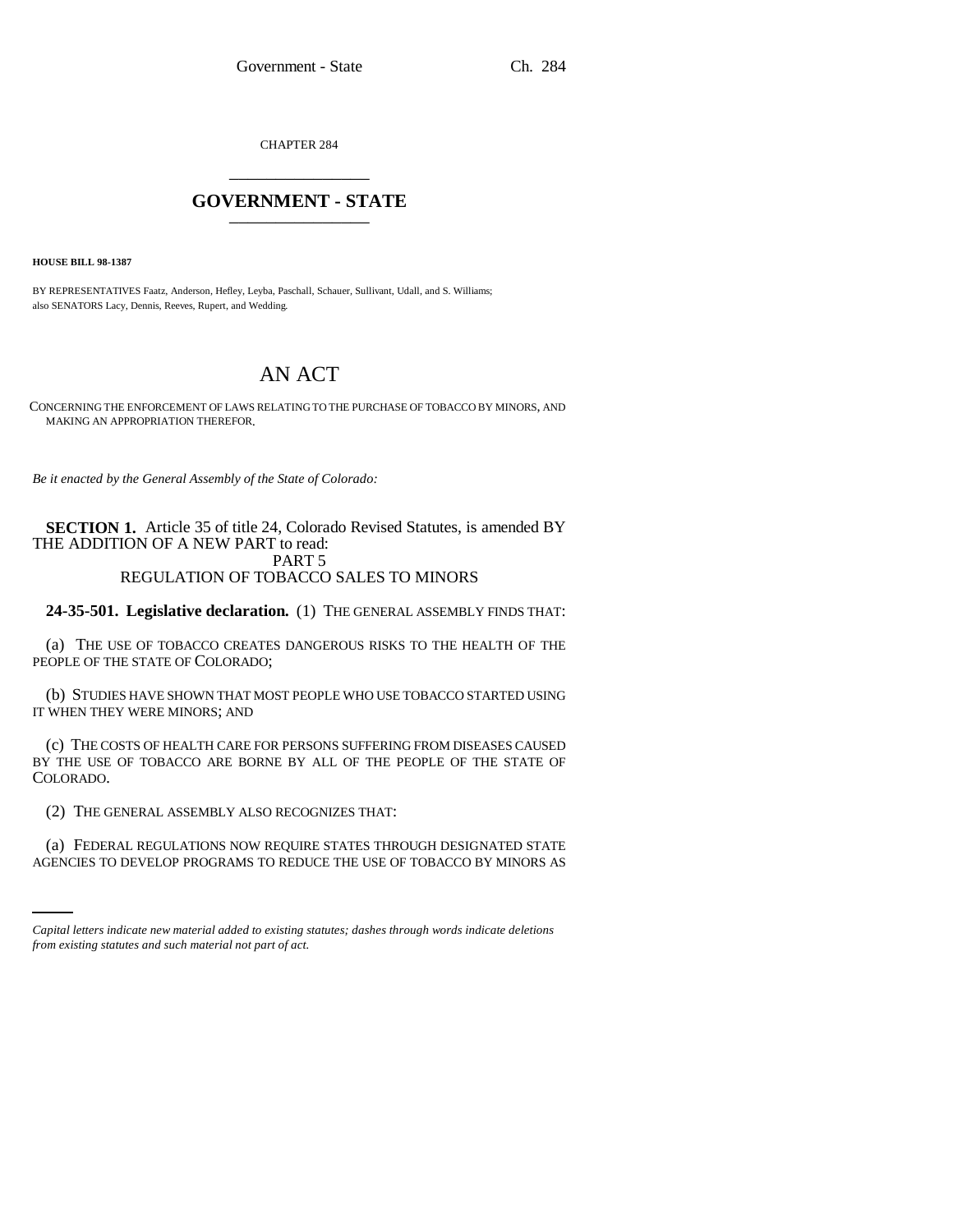CHAPTER 284 \_\_\_\_\_\_\_\_\_\_\_\_\_\_\_

## **GOVERNMENT - STATE** \_\_\_\_\_\_\_\_\_\_\_\_\_\_\_

**HOUSE BILL 98-1387**

BY REPRESENTATIVES Faatz, Anderson, Hefley, Leyba, Paschall, Schauer, Sullivant, Udall, and S. Williams; also SENATORS Lacy, Dennis, Reeves, Rupert, and Wedding.

# AN ACT

CONCERNING THE ENFORCEMENT OF LAWS RELATING TO THE PURCHASE OF TOBACCO BY MINORS, AND MAKING AN APPROPRIATION THEREFOR.

*Be it enacted by the General Assembly of the State of Colorado:*

**SECTION 1.** Article 35 of title 24, Colorado Revised Statutes, is amended BY THE ADDITION OF A NEW PART to read: PART 5 REGULATION OF TOBACCO SALES TO MINORS

**24-35-501. Legislative declaration.** (1) THE GENERAL ASSEMBLY FINDS THAT:

(a) THE USE OF TOBACCO CREATES DANGEROUS RISKS TO THE HEALTH OF THE PEOPLE OF THE STATE OF COLORADO;

(b) STUDIES HAVE SHOWN THAT MOST PEOPLE WHO USE TOBACCO STARTED USING IT WHEN THEY WERE MINORS; AND

(c) THE COSTS OF HEALTH CARE FOR PERSONS SUFFERING FROM DISEASES CAUSED BY THE USE OF TOBACCO ARE BORNE BY ALL OF THE PEOPLE OF THE STATE OF COLORADO.

(2) THE GENERAL ASSEMBLY ALSO RECOGNIZES THAT:

(a) FEDERAL REGULATIONS NOW REQUIRE STATES THROUGH DESIGNATED STATE AGENCIES TO DEVELOP PROGRAMS TO REDUCE THE USE OF TOBACCO BY MINORS AS

*Capital letters indicate new material added to existing statutes; dashes through words indicate deletions from existing statutes and such material not part of act.*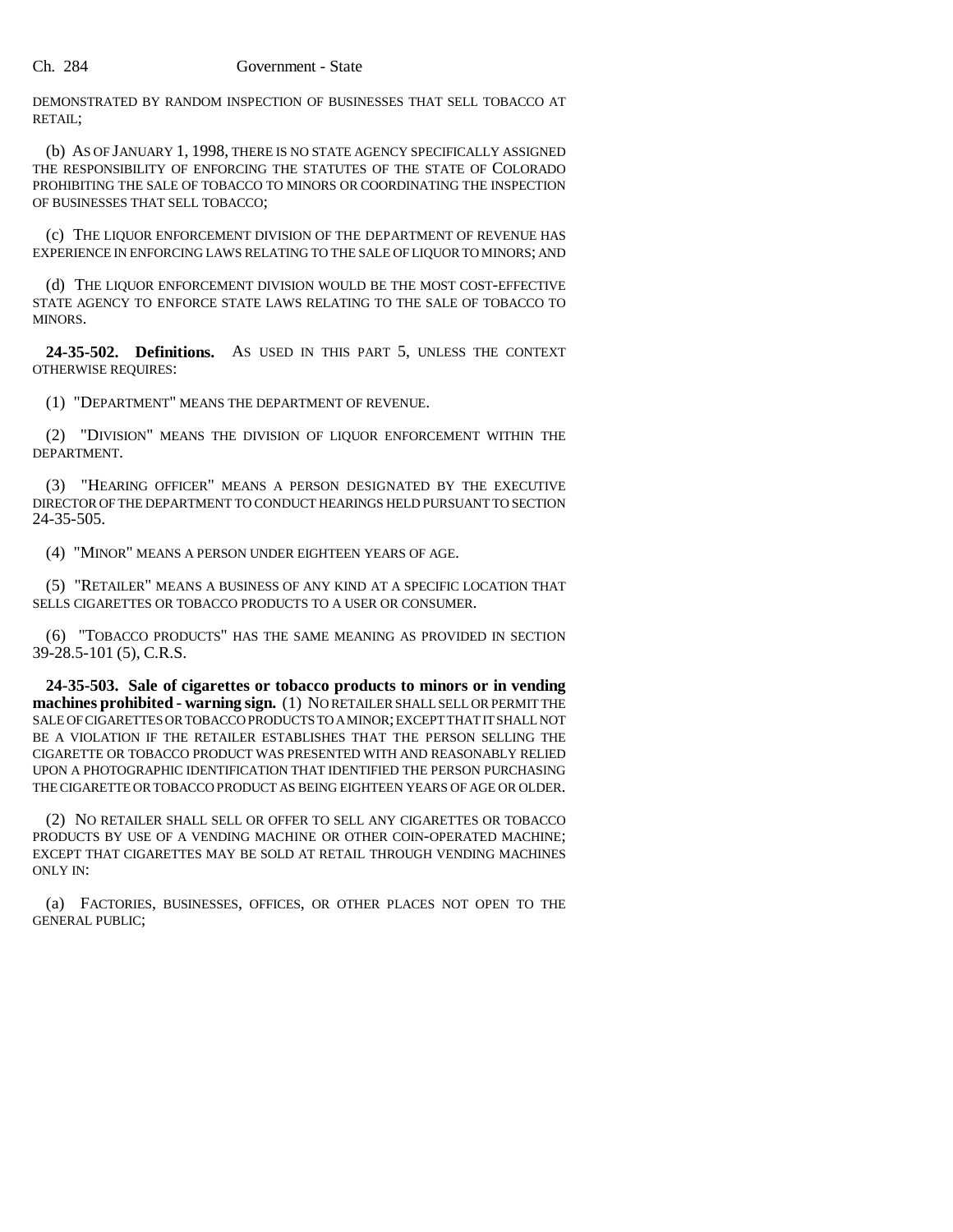DEMONSTRATED BY RANDOM INSPECTION OF BUSINESSES THAT SELL TOBACCO AT RETAIL;

(b) AS OF JANUARY 1, 1998, THERE IS NO STATE AGENCY SPECIFICALLY ASSIGNED THE RESPONSIBILITY OF ENFORCING THE STATUTES OF THE STATE OF COLORADO PROHIBITING THE SALE OF TOBACCO TO MINORS OR COORDINATING THE INSPECTION OF BUSINESSES THAT SELL TOBACCO;

(c) THE LIQUOR ENFORCEMENT DIVISION OF THE DEPARTMENT OF REVENUE HAS EXPERIENCE IN ENFORCING LAWS RELATING TO THE SALE OF LIQUOR TO MINORS; AND

(d) THE LIQUOR ENFORCEMENT DIVISION WOULD BE THE MOST COST-EFFECTIVE STATE AGENCY TO ENFORCE STATE LAWS RELATING TO THE SALE OF TOBACCO TO MINORS.

**24-35-502. Definitions.** AS USED IN THIS PART 5, UNLESS THE CONTEXT OTHERWISE REQUIRES:

(1) "DEPARTMENT" MEANS THE DEPARTMENT OF REVENUE.

(2) "DIVISION" MEANS THE DIVISION OF LIQUOR ENFORCEMENT WITHIN THE DEPARTMENT.

(3) "HEARING OFFICER" MEANS A PERSON DESIGNATED BY THE EXECUTIVE DIRECTOR OF THE DEPARTMENT TO CONDUCT HEARINGS HELD PURSUANT TO SECTION 24-35-505.

(4) "MINOR" MEANS A PERSON UNDER EIGHTEEN YEARS OF AGE.

(5) "RETAILER" MEANS A BUSINESS OF ANY KIND AT A SPECIFIC LOCATION THAT SELLS CIGARETTES OR TOBACCO PRODUCTS TO A USER OR CONSUMER.

(6) "TOBACCO PRODUCTS" HAS THE SAME MEANING AS PROVIDED IN SECTION 39-28.5-101 (5), C.R.S.

**24-35-503. Sale of cigarettes or tobacco products to minors or in vending machines prohibited - warning sign.** (1) NO RETAILER SHALL SELL OR PERMIT THE SALE OF CIGARETTES OR TOBACCO PRODUCTS TO A MINOR; EXCEPT THAT IT SHALL NOT BE A VIOLATION IF THE RETAILER ESTABLISHES THAT THE PERSON SELLING THE CIGARETTE OR TOBACCO PRODUCT WAS PRESENTED WITH AND REASONABLY RELIED UPON A PHOTOGRAPHIC IDENTIFICATION THAT IDENTIFIED THE PERSON PURCHASING THE CIGARETTE OR TOBACCO PRODUCT AS BEING EIGHTEEN YEARS OF AGE OR OLDER.

(2) NO RETAILER SHALL SELL OR OFFER TO SELL ANY CIGARETTES OR TOBACCO PRODUCTS BY USE OF A VENDING MACHINE OR OTHER COIN-OPERATED MACHINE; EXCEPT THAT CIGARETTES MAY BE SOLD AT RETAIL THROUGH VENDING MACHINES ONLY IN:

(a) FACTORIES, BUSINESSES, OFFICES, OR OTHER PLACES NOT OPEN TO THE GENERAL PUBLIC;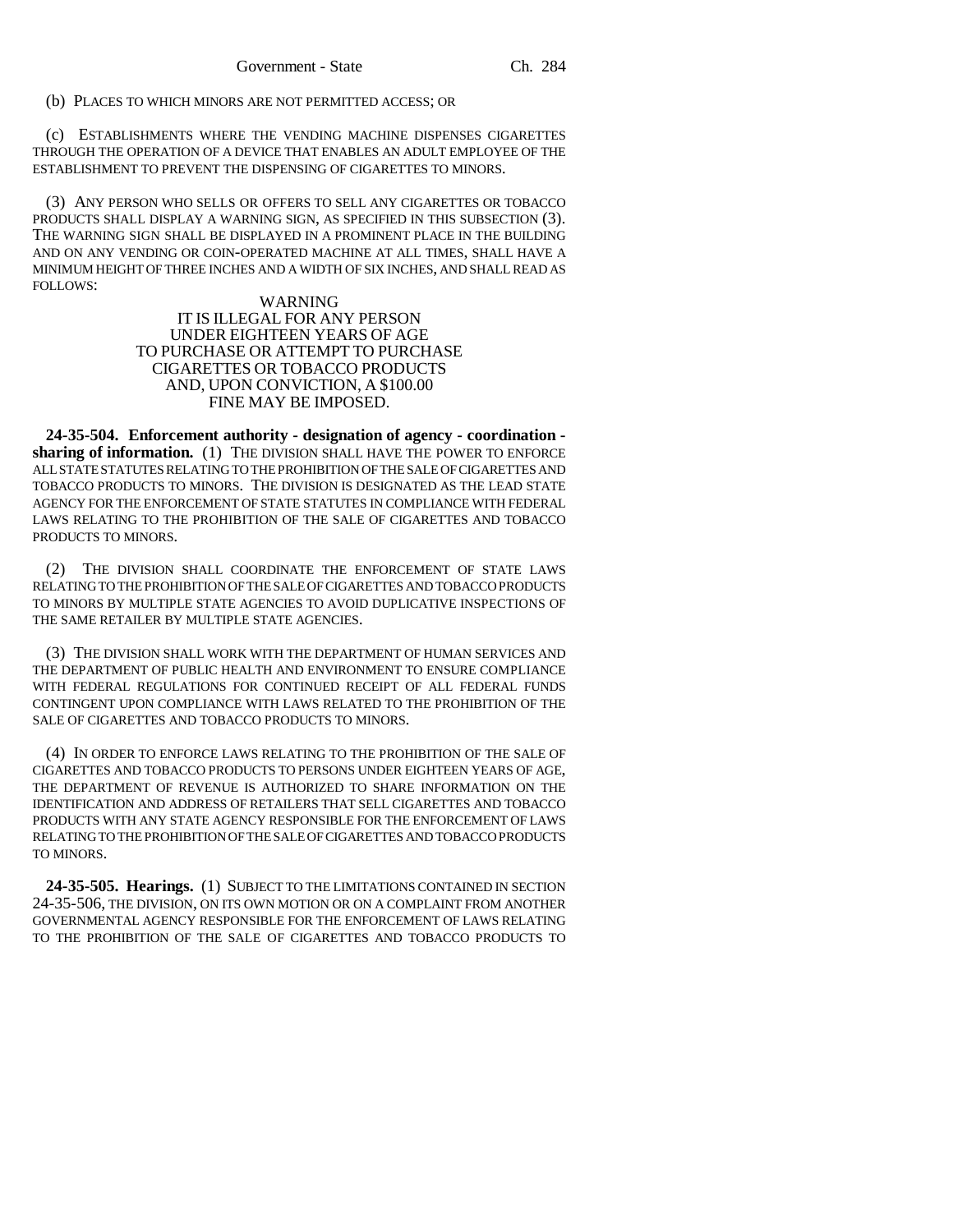(b) PLACES TO WHICH MINORS ARE NOT PERMITTED ACCESS; OR

(c) ESTABLISHMENTS WHERE THE VENDING MACHINE DISPENSES CIGARETTES THROUGH THE OPERATION OF A DEVICE THAT ENABLES AN ADULT EMPLOYEE OF THE ESTABLISHMENT TO PREVENT THE DISPENSING OF CIGARETTES TO MINORS.

(3) ANY PERSON WHO SELLS OR OFFERS TO SELL ANY CIGARETTES OR TOBACCO PRODUCTS SHALL DISPLAY A WARNING SIGN, AS SPECIFIED IN THIS SUBSECTION (3). THE WARNING SIGN SHALL BE DISPLAYED IN A PROMINENT PLACE IN THE BUILDING AND ON ANY VENDING OR COIN-OPERATED MACHINE AT ALL TIMES, SHALL HAVE A MINIMUM HEIGHT OF THREE INCHES AND A WIDTH OF SIX INCHES, AND SHALL READ AS FOLLOWS:

#### WARNING

#### IT IS ILLEGAL FOR ANY PERSON UNDER EIGHTEEN YEARS OF AGE TO PURCHASE OR ATTEMPT TO PURCHASE CIGARETTES OR TOBACCO PRODUCTS AND, UPON CONVICTION, A \$100.00 FINE MAY BE IMPOSED.

**24-35-504. Enforcement authority - designation of agency - coordination**  sharing of information. (1) THE DIVISION SHALL HAVE THE POWER TO ENFORCE ALL STATE STATUTES RELATING TO THE PROHIBITION OF THE SALE OF CIGARETTES AND TOBACCO PRODUCTS TO MINORS. THE DIVISION IS DESIGNATED AS THE LEAD STATE AGENCY FOR THE ENFORCEMENT OF STATE STATUTES IN COMPLIANCE WITH FEDERAL LAWS RELATING TO THE PROHIBITION OF THE SALE OF CIGARETTES AND TOBACCO PRODUCTS TO MINORS.

(2) THE DIVISION SHALL COORDINATE THE ENFORCEMENT OF STATE LAWS RELATING TO THE PROHIBITION OF THE SALE OF CIGARETTES AND TOBACCO PRODUCTS TO MINORS BY MULTIPLE STATE AGENCIES TO AVOID DUPLICATIVE INSPECTIONS OF THE SAME RETAILER BY MULTIPLE STATE AGENCIES.

(3) THE DIVISION SHALL WORK WITH THE DEPARTMENT OF HUMAN SERVICES AND THE DEPARTMENT OF PUBLIC HEALTH AND ENVIRONMENT TO ENSURE COMPLIANCE WITH FEDERAL REGULATIONS FOR CONTINUED RECEIPT OF ALL FEDERAL FUNDS CONTINGENT UPON COMPLIANCE WITH LAWS RELATED TO THE PROHIBITION OF THE SALE OF CIGARETTES AND TOBACCO PRODUCTS TO MINORS.

(4) IN ORDER TO ENFORCE LAWS RELATING TO THE PROHIBITION OF THE SALE OF CIGARETTES AND TOBACCO PRODUCTS TO PERSONS UNDER EIGHTEEN YEARS OF AGE, THE DEPARTMENT OF REVENUE IS AUTHORIZED TO SHARE INFORMATION ON THE IDENTIFICATION AND ADDRESS OF RETAILERS THAT SELL CIGARETTES AND TOBACCO PRODUCTS WITH ANY STATE AGENCY RESPONSIBLE FOR THE ENFORCEMENT OF LAWS RELATING TO THE PROHIBITION OF THE SALE OF CIGARETTES AND TOBACCO PRODUCTS TO MINORS.

**24-35-505. Hearings.** (1) SUBJECT TO THE LIMITATIONS CONTAINED IN SECTION 24-35-506, THE DIVISION, ON ITS OWN MOTION OR ON A COMPLAINT FROM ANOTHER GOVERNMENTAL AGENCY RESPONSIBLE FOR THE ENFORCEMENT OF LAWS RELATING TO THE PROHIBITION OF THE SALE OF CIGARETTES AND TOBACCO PRODUCTS TO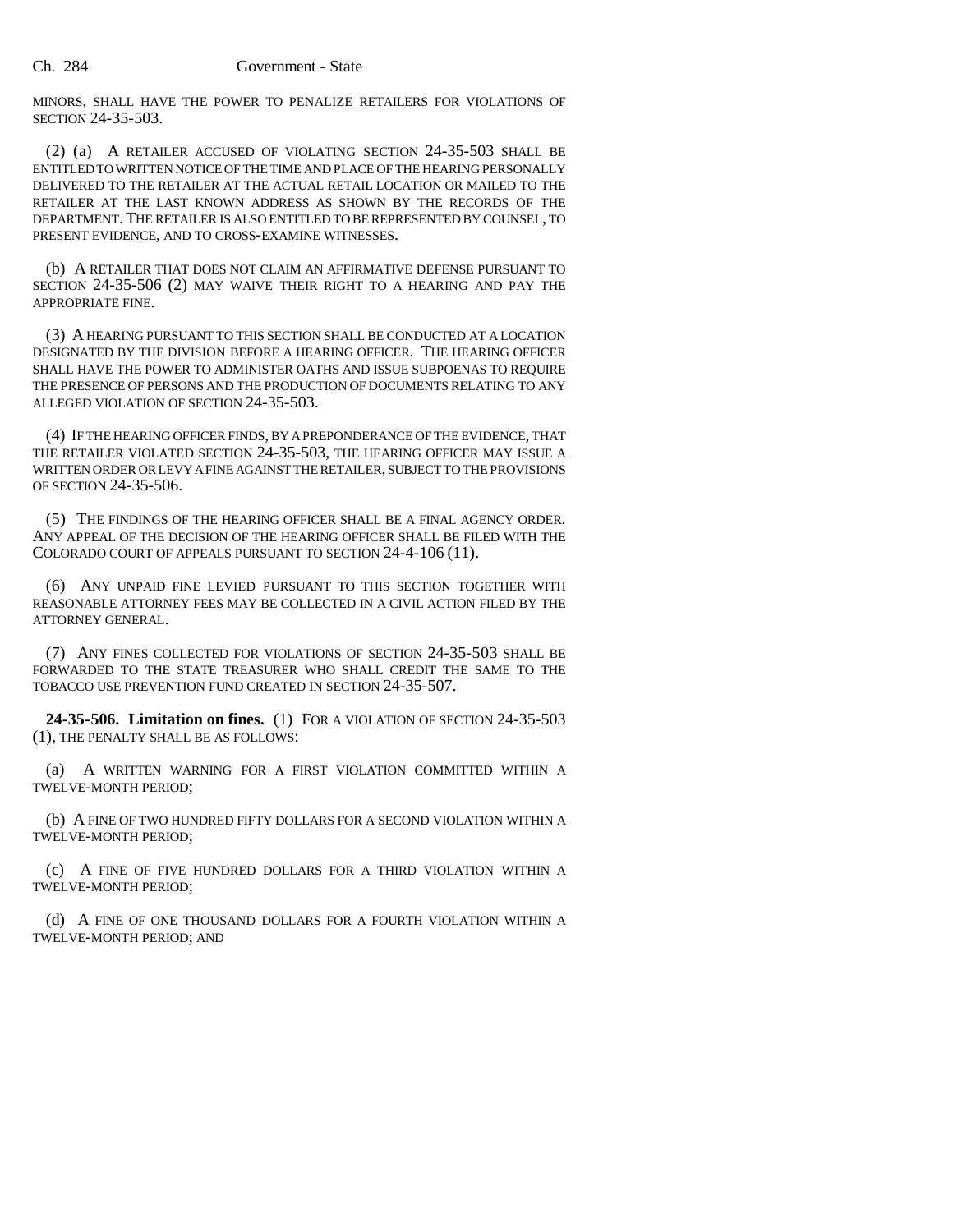MINORS, SHALL HAVE THE POWER TO PENALIZE RETAILERS FOR VIOLATIONS OF SECTION 24-35-503.

(2) (a) A RETAILER ACCUSED OF VIOLATING SECTION 24-35-503 SHALL BE ENTITLED TO WRITTEN NOTICE OF THE TIME AND PLACE OF THE HEARING PERSONALLY DELIVERED TO THE RETAILER AT THE ACTUAL RETAIL LOCATION OR MAILED TO THE RETAILER AT THE LAST KNOWN ADDRESS AS SHOWN BY THE RECORDS OF THE DEPARTMENT. THE RETAILER IS ALSO ENTITLED TO BE REPRESENTED BY COUNSEL, TO PRESENT EVIDENCE, AND TO CROSS-EXAMINE WITNESSES.

(b) A RETAILER THAT DOES NOT CLAIM AN AFFIRMATIVE DEFENSE PURSUANT TO SECTION 24-35-506 (2) MAY WAIVE THEIR RIGHT TO A HEARING AND PAY THE APPROPRIATE FINE.

(3) A HEARING PURSUANT TO THIS SECTION SHALL BE CONDUCTED AT A LOCATION DESIGNATED BY THE DIVISION BEFORE A HEARING OFFICER. THE HEARING OFFICER SHALL HAVE THE POWER TO ADMINISTER OATHS AND ISSUE SUBPOENAS TO REQUIRE THE PRESENCE OF PERSONS AND THE PRODUCTION OF DOCUMENTS RELATING TO ANY ALLEGED VIOLATION OF SECTION 24-35-503.

(4) IF THE HEARING OFFICER FINDS, BY A PREPONDERANCE OF THE EVIDENCE, THAT THE RETAILER VIOLATED SECTION 24-35-503, THE HEARING OFFICER MAY ISSUE A WRITTEN ORDER OR LEVY A FINE AGAINST THE RETAILER, SUBJECT TO THE PROVISIONS OF SECTION 24-35-506.

(5) THE FINDINGS OF THE HEARING OFFICER SHALL BE A FINAL AGENCY ORDER. ANY APPEAL OF THE DECISION OF THE HEARING OFFICER SHALL BE FILED WITH THE COLORADO COURT OF APPEALS PURSUANT TO SECTION 24-4-106 (11).

(6) ANY UNPAID FINE LEVIED PURSUANT TO THIS SECTION TOGETHER WITH REASONABLE ATTORNEY FEES MAY BE COLLECTED IN A CIVIL ACTION FILED BY THE ATTORNEY GENERAL.

(7) ANY FINES COLLECTED FOR VIOLATIONS OF SECTION 24-35-503 SHALL BE FORWARDED TO THE STATE TREASURER WHO SHALL CREDIT THE SAME TO THE TOBACCO USE PREVENTION FUND CREATED IN SECTION 24-35-507.

**24-35-506. Limitation on fines.** (1) FOR A VIOLATION OF SECTION 24-35-503 (1), THE PENALTY SHALL BE AS FOLLOWS:

(a) A WRITTEN WARNING FOR A FIRST VIOLATION COMMITTED WITHIN A TWELVE-MONTH PERIOD;

(b) A FINE OF TWO HUNDRED FIFTY DOLLARS FOR A SECOND VIOLATION WITHIN A TWELVE-MONTH PERIOD;

(c) A FINE OF FIVE HUNDRED DOLLARS FOR A THIRD VIOLATION WITHIN A TWELVE-MONTH PERIOD;

(d) A FINE OF ONE THOUSAND DOLLARS FOR A FOURTH VIOLATION WITHIN A TWELVE-MONTH PERIOD; AND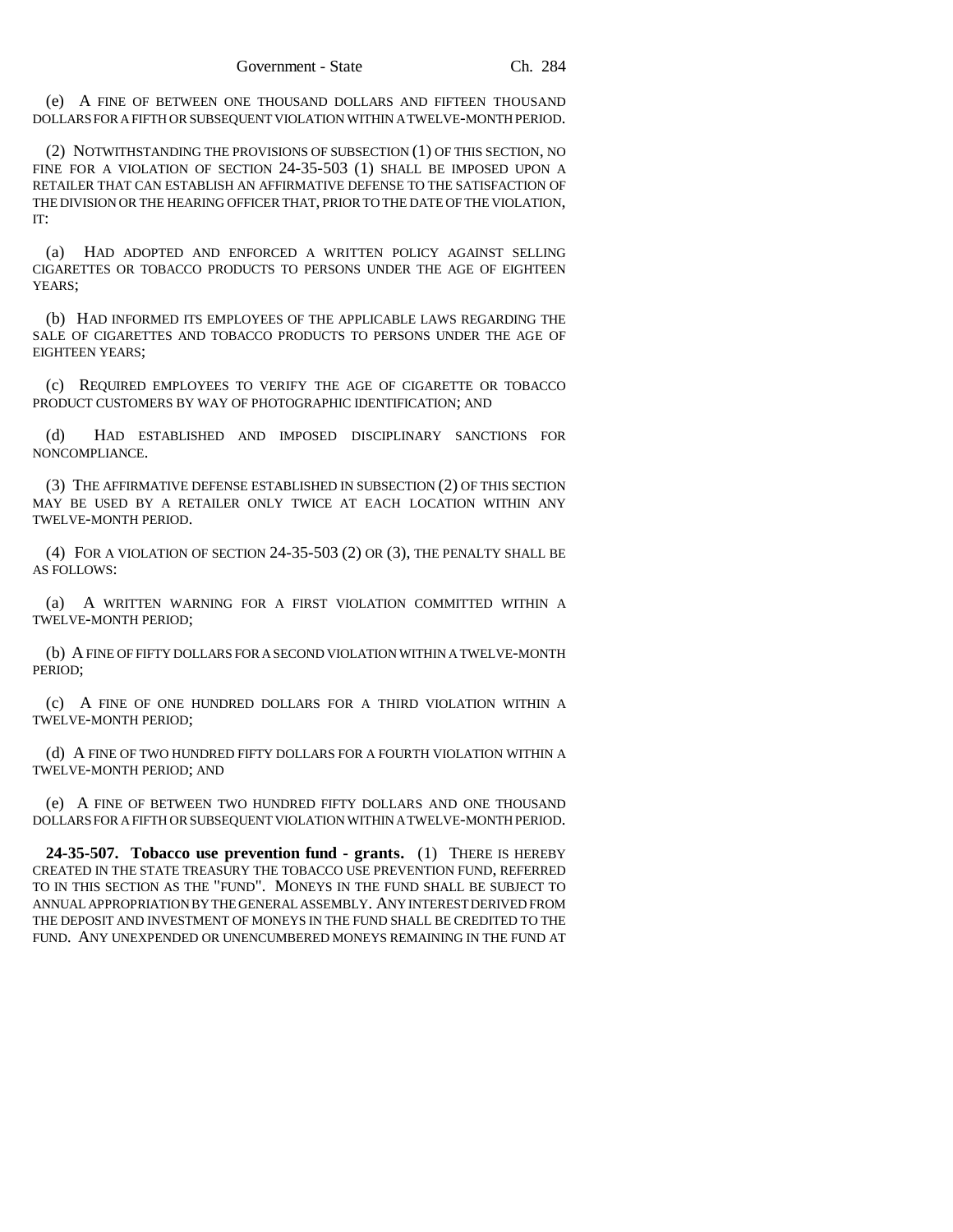(e) A FINE OF BETWEEN ONE THOUSAND DOLLARS AND FIFTEEN THOUSAND DOLLARS FOR A FIFTH OR SUBSEQUENT VIOLATION WITHIN A TWELVE-MONTH PERIOD.

(2) NOTWITHSTANDING THE PROVISIONS OF SUBSECTION (1) OF THIS SECTION, NO FINE FOR A VIOLATION OF SECTION 24-35-503 (1) SHALL BE IMPOSED UPON A RETAILER THAT CAN ESTABLISH AN AFFIRMATIVE DEFENSE TO THE SATISFACTION OF THE DIVISION OR THE HEARING OFFICER THAT, PRIOR TO THE DATE OF THE VIOLATION, IT:

(a) HAD ADOPTED AND ENFORCED A WRITTEN POLICY AGAINST SELLING CIGARETTES OR TOBACCO PRODUCTS TO PERSONS UNDER THE AGE OF EIGHTEEN YEARS:

(b) HAD INFORMED ITS EMPLOYEES OF THE APPLICABLE LAWS REGARDING THE SALE OF CIGARETTES AND TOBACCO PRODUCTS TO PERSONS UNDER THE AGE OF EIGHTEEN YEARS;

(c) REQUIRED EMPLOYEES TO VERIFY THE AGE OF CIGARETTE OR TOBACCO PRODUCT CUSTOMERS BY WAY OF PHOTOGRAPHIC IDENTIFICATION; AND

(d) HAD ESTABLISHED AND IMPOSED DISCIPLINARY SANCTIONS FOR NONCOMPLIANCE.

(3) THE AFFIRMATIVE DEFENSE ESTABLISHED IN SUBSECTION (2) OF THIS SECTION MAY BE USED BY A RETAILER ONLY TWICE AT EACH LOCATION WITHIN ANY TWELVE-MONTH PERIOD.

(4) FOR A VIOLATION OF SECTION 24-35-503 (2) OR (3), THE PENALTY SHALL BE AS FOLLOWS:

(a) A WRITTEN WARNING FOR A FIRST VIOLATION COMMITTED WITHIN A TWELVE-MONTH PERIOD;

(b) A FINE OF FIFTY DOLLARS FOR A SECOND VIOLATION WITHIN A TWELVE-MONTH PERIOD;

(c) A FINE OF ONE HUNDRED DOLLARS FOR A THIRD VIOLATION WITHIN A TWELVE-MONTH PERIOD;

(d) A FINE OF TWO HUNDRED FIFTY DOLLARS FOR A FOURTH VIOLATION WITHIN A TWELVE-MONTH PERIOD; AND

(e) A FINE OF BETWEEN TWO HUNDRED FIFTY DOLLARS AND ONE THOUSAND DOLLARS FOR A FIFTH OR SUBSEQUENT VIOLATION WITHIN A TWELVE-MONTH PERIOD.

**24-35-507. Tobacco use prevention fund - grants.** (1) THERE IS HEREBY CREATED IN THE STATE TREASURY THE TOBACCO USE PREVENTION FUND, REFERRED TO IN THIS SECTION AS THE "FUND". MONEYS IN THE FUND SHALL BE SUBJECT TO ANNUAL APPROPRIATION BY THE GENERAL ASSEMBLY. ANY INTEREST DERIVED FROM THE DEPOSIT AND INVESTMENT OF MONEYS IN THE FUND SHALL BE CREDITED TO THE FUND. ANY UNEXPENDED OR UNENCUMBERED MONEYS REMAINING IN THE FUND AT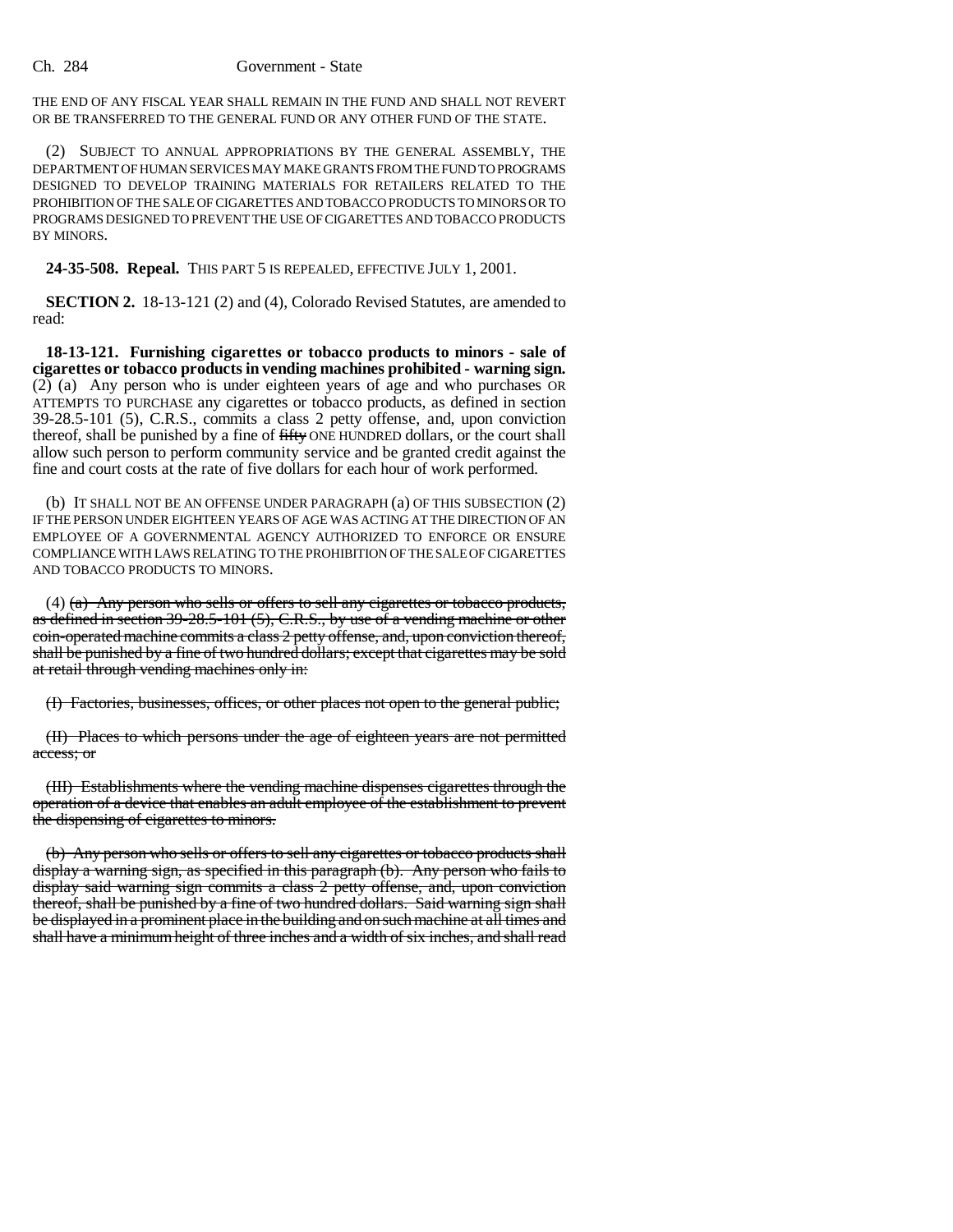#### Ch. 284 Government - State

THE END OF ANY FISCAL YEAR SHALL REMAIN IN THE FUND AND SHALL NOT REVERT OR BE TRANSFERRED TO THE GENERAL FUND OR ANY OTHER FUND OF THE STATE.

(2) SUBJECT TO ANNUAL APPROPRIATIONS BY THE GENERAL ASSEMBLY, THE DEPARTMENT OF HUMAN SERVICES MAY MAKE GRANTS FROM THE FUND TO PROGRAMS DESIGNED TO DEVELOP TRAINING MATERIALS FOR RETAILERS RELATED TO THE PROHIBITION OF THE SALE OF CIGARETTES AND TOBACCO PRODUCTS TO MINORS OR TO PROGRAMS DESIGNED TO PREVENT THE USE OF CIGARETTES AND TOBACCO PRODUCTS BY MINORS.

**24-35-508. Repeal.** THIS PART 5 IS REPEALED, EFFECTIVE JULY 1, 2001.

**SECTION 2.** 18-13-121 (2) and (4), Colorado Revised Statutes, are amended to read:

**18-13-121. Furnishing cigarettes or tobacco products to minors - sale of cigarettes or tobacco products in vending machines prohibited - warning sign.** (2) (a) Any person who is under eighteen years of age and who purchases OR ATTEMPTS TO PURCHASE any cigarettes or tobacco products, as defined in section 39-28.5-101 (5), C.R.S., commits a class 2 petty offense, and, upon conviction thereof, shall be punished by a fine of fifty ONE HUNDRED dollars, or the court shall allow such person to perform community service and be granted credit against the fine and court costs at the rate of five dollars for each hour of work performed.

(b) IT SHALL NOT BE AN OFFENSE UNDER PARAGRAPH (a) OF THIS SUBSECTION (2) IF THE PERSON UNDER EIGHTEEN YEARS OF AGE WAS ACTING AT THE DIRECTION OF AN EMPLOYEE OF A GOVERNMENTAL AGENCY AUTHORIZED TO ENFORCE OR ENSURE COMPLIANCE WITH LAWS RELATING TO THE PROHIBITION OF THE SALE OF CIGARETTES AND TOBACCO PRODUCTS TO MINORS.

 $(4)$  (a) Any person who sells or offers to sell any cigarettes or tobacco products, as defined in section 39-28.5-101 (5), C.R.S., by use of a vending machine or other coin-operated machine commits a class 2 petty offense, and, upon conviction thereof, shall be punished by a fine of two hundred dollars; except that cigarettes may be sold at retail through vending machines only in:

(I) Factories, businesses, offices, or other places not open to the general public;

(II) Places to which persons under the age of eighteen years are not permitted access; or

(III) Establishments where the vending machine dispenses cigarettes through the operation of a device that enables an adult employee of the establishment to prevent the dispensing of cigarettes to minors.

(b) Any person who sells or offers to sell any cigarettes or tobacco products shall display a warning sign, as specified in this paragraph (b). Any person who fails to display said warning sign commits a class 2 petty offense, and, upon conviction thereof, shall be punished by a fine of two hundred dollars. Said warning sign shall be displayed in a prominent place in the building and on such machine at all times and shall have a minimum height of three inches and a width of six inches, and shall read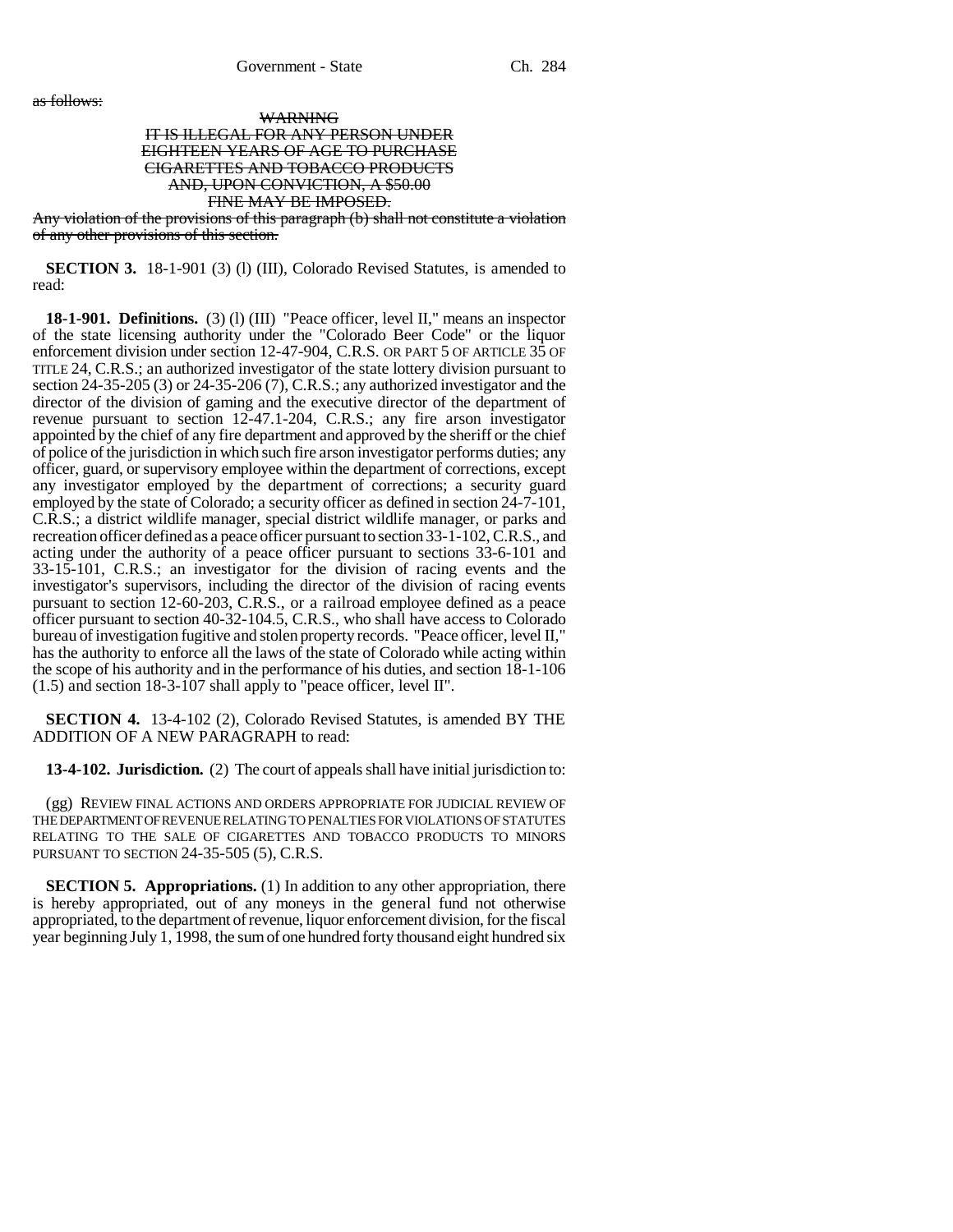as follows:

### WARNING IT IS ILLEGAL FOR ANY PERSON UNDER EIGHTEEN YEARS OF AGE TO PURCHASE CIGARETTES AND TOBACCO PRODUCTS AND, UPON CONVICTION, A \$50.00 FINE MAY BE IMPOSED.

Any violation of the provisions of this paragraph (b) shall not constitute a violation of any other provisions of this section.

**SECTION 3.** 18-1-901 (3) (1) (III), Colorado Revised Statutes, is amended to read:

**18-1-901. Definitions.** (3) (l) (III) "Peace officer, level II," means an inspector of the state licensing authority under the "Colorado Beer Code" or the liquor enforcement division under section 12-47-904, C.R.S. OR PART 5 OF ARTICLE 35 OF TITLE 24, C.R.S.; an authorized investigator of the state lottery division pursuant to section 24-35-205 (3) or 24-35-206 (7), C.R.S.; any authorized investigator and the director of the division of gaming and the executive director of the department of revenue pursuant to section 12-47.1-204, C.R.S.; any fire arson investigator appointed by the chief of any fire department and approved by the sheriff or the chief of police of the jurisdiction in which such fire arson investigator performs duties; any officer, guard, or supervisory employee within the department of corrections, except any investigator employed by the department of corrections; a security guard employed by the state of Colorado; a security officer as defined in section 24-7-101, C.R.S.; a district wildlife manager, special district wildlife manager, or parks and recreation officer defined as a peace officer pursuant to section 33-1-102, C.R.S., and acting under the authority of a peace officer pursuant to sections 33-6-101 and 33-15-101, C.R.S.; an investigator for the division of racing events and the investigator's supervisors, including the director of the division of racing events pursuant to section 12-60-203, C.R.S., or a railroad employee defined as a peace officer pursuant to section 40-32-104.5, C.R.S., who shall have access to Colorado bureau of investigation fugitive and stolen property records. "Peace officer, level II," has the authority to enforce all the laws of the state of Colorado while acting within the scope of his authority and in the performance of his duties, and section 18-1-106 (1.5) and section 18-3-107 shall apply to "peace officer, level II".

**SECTION 4.** 13-4-102 (2), Colorado Revised Statutes, is amended BY THE ADDITION OF A NEW PARAGRAPH to read:

**13-4-102. Jurisdiction.** (2) The court of appeals shall have initial jurisdiction to:

(gg) REVIEW FINAL ACTIONS AND ORDERS APPROPRIATE FOR JUDICIAL REVIEW OF THE DEPARTMENT OF REVENUE RELATING TO PENALTIES FOR VIOLATIONS OF STATUTES RELATING TO THE SALE OF CIGARETTES AND TOBACCO PRODUCTS TO MINORS PURSUANT TO SECTION 24-35-505 (5), C.R.S.

**SECTION 5. Appropriations.** (1) In addition to any other appropriation, there is hereby appropriated, out of any moneys in the general fund not otherwise appropriated, to the department of revenue, liquor enforcement division, for the fiscal year beginning July 1, 1998, the sum of one hundred forty thousand eight hundred six